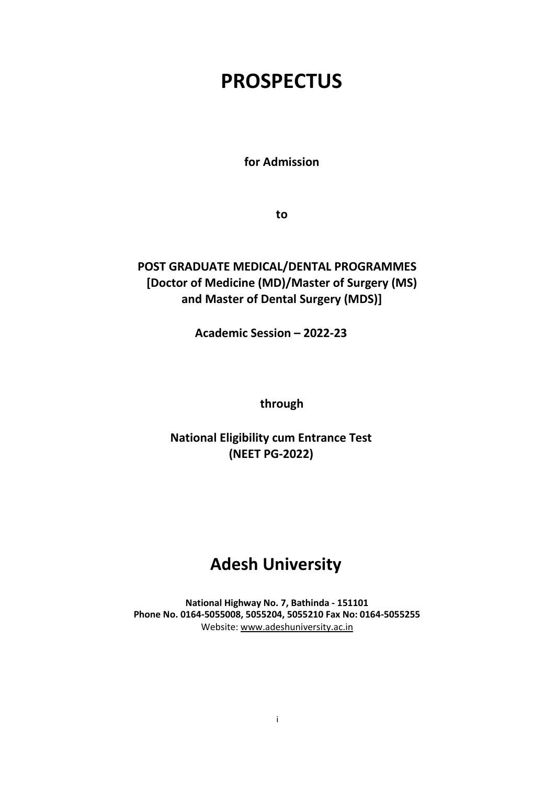# **PROSPECTUS**

**for Admission**

**to**

# **POST GRADUATE MEDICAL/DENTAL PROGRAMMES [Doctor of Medicine (MD)/Master of Surgery (MS) and Master of Dental Surgery (MDS)]**

**Academic Session – 2022-23**

**through**

# **National Eligibility cum Entrance Test (NEET PG-2022)**

# **Adesh University**

**National Highway No. 7, Bathinda - 151101 Phone No. 0164-5055008, 5055204, 5055210 Fax No: 0164-5055255** Website: [www.adeshuniversity.ac.in](http://www.adeshuniversity.ac.in/)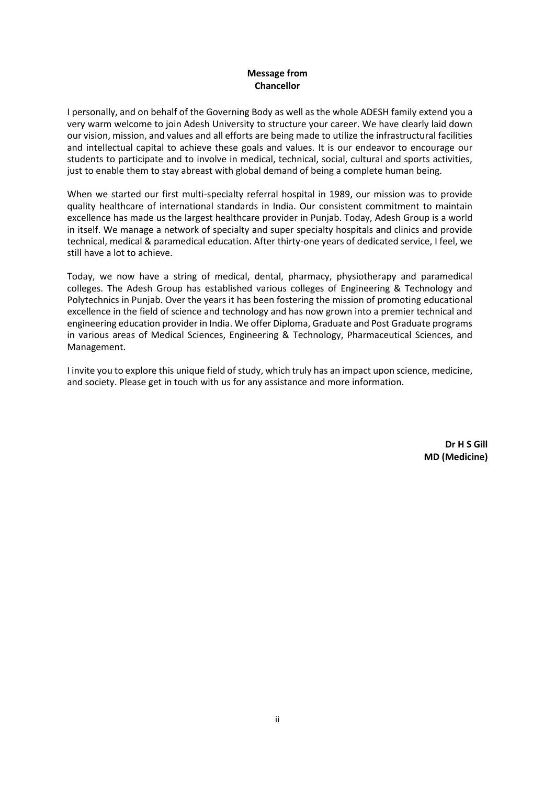# **Message from Chancellor**

I personally, and on behalf of the Governing Body as well as the whole ADESH family extend you a very warm welcome to join Adesh University to structure your career. We have clearly laid down our vision, mission, and values and all efforts are being made to utilize the infrastructural facilities and intellectual capital to achieve these goals and values. It is our endeavor to encourage our students to participate and to involve in medical, technical, social, cultural and sports activities, just to enable them to stay abreast with global demand of being a complete human being.

When we started our first multi-specialty referral hospital in 1989, our mission was to provide quality healthcare of international standards in India. Our consistent commitment to maintain excellence has made us the largest healthcare provider in Punjab. Today, Adesh Group is a world in itself. We manage a network of specialty and super specialty hospitals and clinics and provide technical, medical & paramedical education. After thirty-one years of dedicated service, I feel, we still have a lot to achieve.

Today, we now have a string of medical, dental, pharmacy, physiotherapy and paramedical colleges. The Adesh Group has established various colleges of Engineering & Technology and Polytechnics in Punjab. Over the years it has been fostering the mission of promoting educational excellence in the field of science and technology and has now grown into a premier technical and engineering education provider in India. We offer Diploma, Graduate and Post Graduate programs in various areas of Medical Sciences, Engineering & Technology, Pharmaceutical Sciences, and Management.

I invite you to explore this unique field of study, which truly has an impact upon science, medicine, and society. Please get in touch with us for any assistance and more information.

> **Dr H S Gill MD (Medicine)**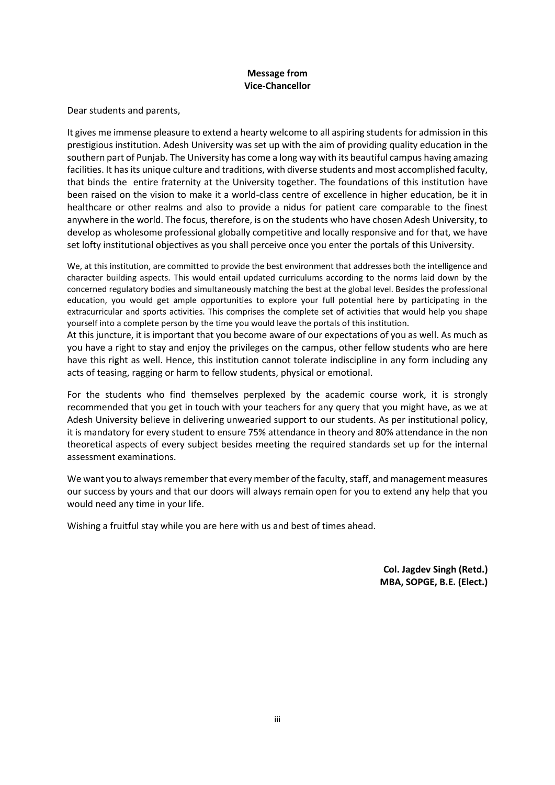# **Message from Vice-Chancellor**

Dear students and parents,

It gives me immense pleasure to extend a hearty welcome to all aspiring students for admission in this prestigious institution. Adesh University was set up with the aim of providing quality education in the southern part of Punjab. The University has come a long way with its beautiful campus having amazing facilities. It has its unique culture and traditions, with diverse students and most accomplished faculty, that binds the entire fraternity at the University together. The foundations of this institution have been raised on the vision to make it a world-class centre of excellence in higher education, be it in healthcare or other realms and also to provide a nidus for patient care comparable to the finest anywhere in the world. The focus, therefore, is on the students who have chosen Adesh University, to develop as wholesome professional globally competitive and locally responsive and for that, we have set lofty institutional objectives as you shall perceive once you enter the portals of this University.

We, at this institution, are committed to provide the best environment that addresses both the intelligence and character building aspects. This would entail updated curriculums according to the norms laid down by the concerned regulatory bodies and simultaneously matching the best at the global level. Besides the professional education, you would get ample opportunities to explore your full potential here by participating in the extracurricular and sports activities. This comprises the complete set of activities that would help you shape yourself into a complete person by the time you would leave the portals of this institution.

At this juncture, it is important that you become aware of our expectations of you as well. As much as you have a right to stay and enjoy the privileges on the campus, other fellow students who are here have this right as well. Hence, this institution cannot tolerate indiscipline in any form including any acts of teasing, ragging or harm to fellow students, physical or emotional.

For the students who find themselves perplexed by the academic course work, it is strongly recommended that you get in touch with your teachers for any query that you might have, as we at Adesh University believe in delivering unwearied support to our students. As per institutional policy, it is mandatory for every student to ensure 75% attendance in theory and 80% attendance in the non theoretical aspects of every subject besides meeting the required standards set up for the internal assessment examinations.

We want you to always remember that every member of the faculty, staff, and management measures our success by yours and that our doors will always remain open for you to extend any help that you would need any time in your life.

Wishing a fruitful stay while you are here with us and best of times ahead.

**Col. Jagdev Singh (Retd.) MBA, SOPGE, B.E. (Elect.)**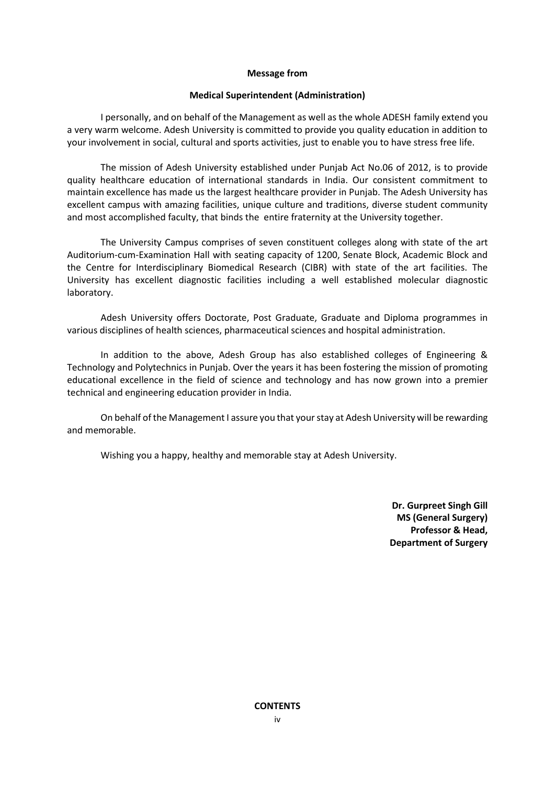#### **Message from**

#### **Medical Superintendent (Administration)**

I personally, and on behalf of the Management as well as the whole ADESH family extend you a very warm welcome. Adesh University is committed to provide you quality education in addition to your involvement in social, cultural and sports activities, just to enable you to have stress free life.

The mission of Adesh University established under Punjab Act No.06 of 2012, is to provide quality healthcare education of international standards in India. Our consistent commitment to maintain excellence has made us the largest healthcare provider in Punjab. The Adesh University has excellent campus with amazing facilities, unique culture and traditions, diverse student community and most accomplished faculty, that binds the entire fraternity at the University together.

The University Campus comprises of seven constituent colleges along with state of the art Auditorium-cum-Examination Hall with seating capacity of 1200, Senate Block, Academic Block and the Centre for Interdisciplinary Biomedical Research (CIBR) with state of the art facilities. The University has excellent diagnostic facilities including a well established molecular diagnostic laboratory.

Adesh University offers Doctorate, Post Graduate, Graduate and Diploma programmes in various disciplines of health sciences, pharmaceutical sciences and hospital administration.

In addition to the above, Adesh Group has also established colleges of Engineering & Technology and Polytechnics in Punjab. Over the years it has been fostering the mission of promoting educational excellence in the field of science and technology and has now grown into a premier technical and engineering education provider in India.

On behalf of the Management I assure you that your stay at Adesh University will be rewarding and memorable.

Wishing you a happy, healthy and memorable stay at Adesh University.

**Dr. Gurpreet Singh Gill MS (General Surgery) Professor & Head, Department of Surgery**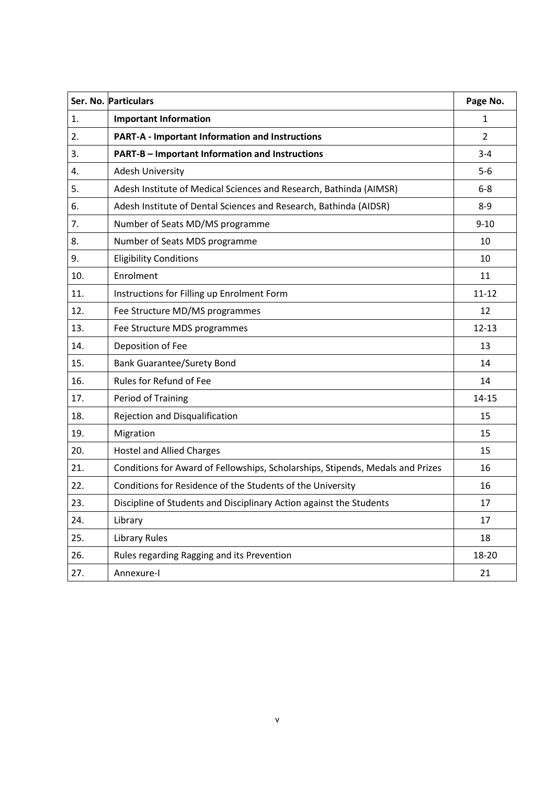|     | Ser. No. Particulars                                                           | Page No.       |
|-----|--------------------------------------------------------------------------------|----------------|
| 1.  | <b>Important Information</b>                                                   | $\mathbf{1}$   |
| 2.  | <b>PART-A - Important Information and Instructions</b>                         | $\overline{2}$ |
| 3.  | PART-B - Important Information and Instructions                                | $3 - 4$        |
| 4.  | <b>Adesh University</b>                                                        | $5-6$          |
| 5.  | Adesh Institute of Medical Sciences and Research, Bathinda (AIMSR)             | $6-8$          |
| 6.  | Adesh Institute of Dental Sciences and Research, Bathinda (AIDSR)              | $8 - 9$        |
| 7.  | Number of Seats MD/MS programme                                                | $9 - 10$       |
| 8.  | Number of Seats MDS programme                                                  | 10             |
| 9.  | <b>Eligibility Conditions</b>                                                  | 10             |
| 10. | Enrolment                                                                      | 11             |
| 11. | Instructions for Filling up Enrolment Form                                     | $11 - 12$      |
| 12. | Fee Structure MD/MS programmes                                                 | 12             |
| 13. | Fee Structure MDS programmes                                                   | $12 - 13$      |
| 14. | Deposition of Fee                                                              | 13             |
| 15. | <b>Bank Guarantee/Surety Bond</b>                                              | 14             |
| 16. | Rules for Refund of Fee                                                        | 14             |
| 17. | Period of Training                                                             | $14 - 15$      |
| 18. | Rejection and Disqualification                                                 | 15             |
| 19. | Migration                                                                      | 15             |
| 20. | <b>Hostel and Allied Charges</b>                                               | 15             |
| 21. | Conditions for Award of Fellowships, Scholarships, Stipends, Medals and Prizes | 16             |
| 22. | Conditions for Residence of the Students of the University                     | 16             |
| 23. | Discipline of Students and Disciplinary Action against the Students            | 17             |
| 24. | Library                                                                        | 17             |
| 25. | <b>Library Rules</b>                                                           | 18             |
| 26. | Rules regarding Ragging and its Prevention                                     | 18-20          |
| 27. | Annexure-I                                                                     | 21             |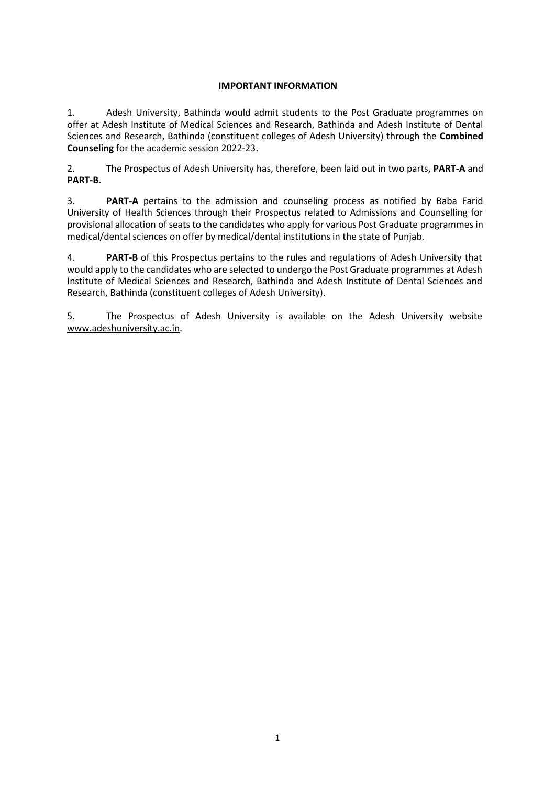# **IMPORTANT INFORMATION**

1. Adesh University, Bathinda would admit students to the Post Graduate programmes on offer at Adesh Institute of Medical Sciences and Research, Bathinda and Adesh Institute of Dental Sciences and Research, Bathinda (constituent colleges of Adesh University) through the **Combined Counseling** for the academic session 2022-23.

2. The Prospectus of Adesh University has, therefore, been laid out in two parts, **PART-A** and **PART-B**.

3. **PART-A** pertains to the admission and counseling process as notified by Baba Farid University of Health Sciences through their Prospectus related to Admissions and Counselling for provisional allocation of seats to the candidates who apply for various Post Graduate programmes in medical/dental sciences on offer by medical/dental institutions in the state of Punjab.

4. **PART-B** of this Prospectus pertains to the rules and regulations of Adesh University that would apply to the candidates who are selected to undergo the Post Graduate programmes at Adesh Institute of Medical Sciences and Research, Bathinda and Adesh Institute of Dental Sciences and Research, Bathinda (constituent colleges of Adesh University).

5. The Prospectus of Adesh University is available on the Adesh University website [www.adeshuniversity.ac.in.](http://www.adeshuniversity.ac.in/)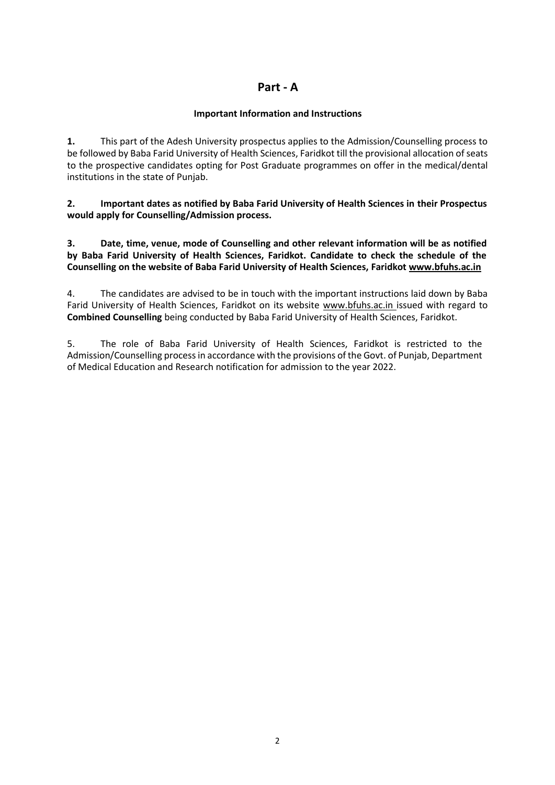# **Part - A**

# **Important Information and Instructions**

**1.** This part of the Adesh University prospectus applies to the Admission/Counselling process to be followed by Baba Farid University of Health Sciences, Faridkot till the provisional allocation of seats to the prospective candidates opting for Post Graduate programmes on offer in the medical/dental institutions in the state of Punjab.

**2. Important dates as notified by Baba Farid University of Health Sciences in their Prospectus would apply for Counselling/Admission process.**

**3. Date, time, venue, mode of Counselling and other relevant information will be as notified by Baba Farid University of Health Sciences, Faridkot. Candidate to check the schedule of the Counselling on the website of Baba Farid University of Health Sciences, Faridko[t www.bfuhs.ac.in](http://www.bfuhs.ac.in/)**

4. The candidates are advised to be in touch with the important instructions laid down by Baba Farid University of Health Sciences, Faridkot on its website [www.bfuhs.ac.in i](http://www.bfuhs.ac.in/)ssued with regard to **Combined Counselling** being conducted by Baba Farid University of Health Sciences, Faridkot.

5. The role of Baba Farid University of Health Sciences, Faridkot is restricted to the Admission/Counselling process in accordance with the provisions of the Govt. of Punjab, Department of Medical Education and Research notification for admission to the year 2022.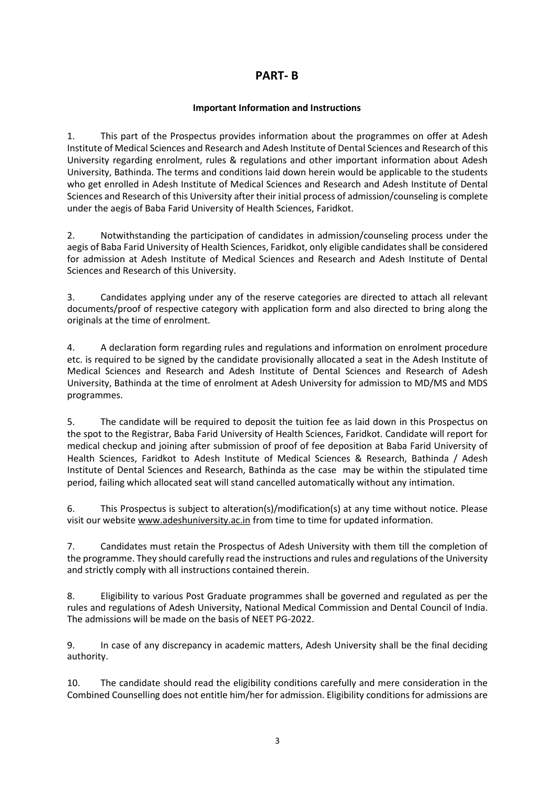# **PART- B**

# **Important Information and Instructions**

1. This part of the Prospectus provides information about the programmes on offer at Adesh Institute of Medical Sciences and Research and Adesh Institute of Dental Sciences and Research of this University regarding enrolment, rules & regulations and other important information about Adesh University, Bathinda. The terms and conditions laid down herein would be applicable to the students who get enrolled in Adesh Institute of Medical Sciences and Research and Adesh Institute of Dental Sciences and Research of this University after their initial process of admission/counseling is complete under the aegis of Baba Farid University of Health Sciences, Faridkot.

2. Notwithstanding the participation of candidates in admission/counseling process under the aegis of Baba Farid University of Health Sciences, Faridkot, only eligible candidates shall be considered for admission at Adesh Institute of Medical Sciences and Research and Adesh Institute of Dental Sciences and Research of this University.

3. Candidates applying under any of the reserve categories are directed to attach all relevant documents/proof of respective category with application form and also directed to bring along the originals at the time of enrolment.

4. A declaration form regarding rules and regulations and information on enrolment procedure etc. is required to be signed by the candidate provisionally allocated a seat in the Adesh Institute of Medical Sciences and Research and Adesh Institute of Dental Sciences and Research of Adesh University, Bathinda at the time of enrolment at Adesh University for admission to MD/MS and MDS programmes.

5. The candidate will be required to deposit the tuition fee as laid down in this Prospectus on the spot to the Registrar, Baba Farid University of Health Sciences, Faridkot. Candidate will report for medical checkup and joining after submission of proof of fee deposition at Baba Farid University of Health Sciences, Faridkot to Adesh Institute of Medical Sciences & Research, Bathinda / Adesh Institute of Dental Sciences and Research, Bathinda as the case may be within the stipulated time period, failing which allocated seat will stand cancelled automatically without any intimation.

6. This Prospectus is subject to alteration(s)/modification(s) at any time without notice. Please visit our website www.adeshuniversity.ac.in from time to time for updated information.

7. Candidates must retain the Prospectus of Adesh University with them till the completion of the programme. They should carefully read the instructions and rules and regulations of the University and strictly comply with all instructions contained therein.

8. Eligibility to various Post Graduate programmes shall be governed and regulated as per the rules and regulations of Adesh University, National Medical Commission and Dental Council of India. The admissions will be made on the basis of NEET PG-2022.

9. In case of any discrepancy in academic matters, Adesh University shall be the final deciding authority.

10. The candidate should read the eligibility conditions carefully and mere consideration in the Combined Counselling does not entitle him/her for admission. Eligibility conditions for admissions are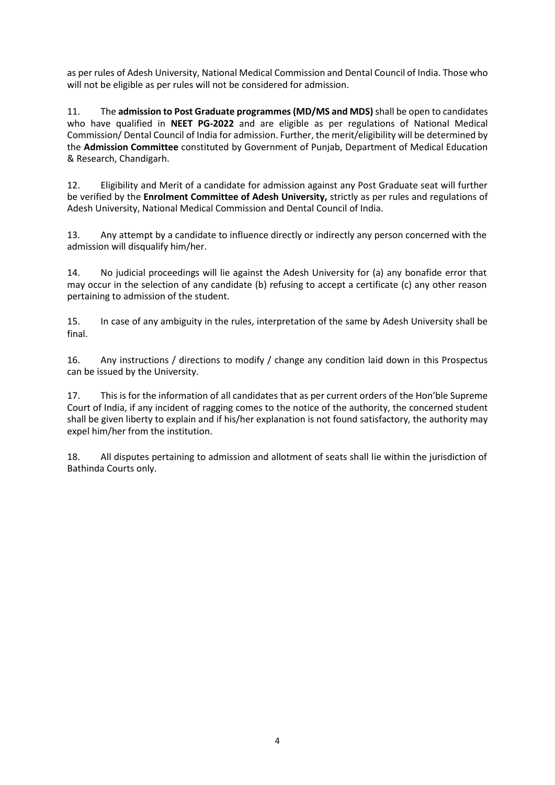as per rules of Adesh University, National Medical Commission and Dental Council of India. Those who will not be eligible as per rules will not be considered for admission.

11. The **admission to Post Graduate programmes (MD/MS and MDS)** shall be open to candidates who have qualified in **NEET PG-2022** and are eligible as per regulations of National Medical Commission/ Dental Council of India for admission. Further, the merit/eligibility will be determined by the **Admission Committee** constituted by Government of Punjab, Department of Medical Education & Research, Chandigarh.

12. Eligibility and Merit of a candidate for admission against any Post Graduate seat will further be verified by the **Enrolment Committee of Adesh University,** strictly as per rules and regulations of Adesh University, National Medical Commission and Dental Council of India.

13. Any attempt by a candidate to influence directly or indirectly any person concerned with the admission will disqualify him/her.

14. No judicial proceedings will lie against the Adesh University for (a) any bonafide error that may occur in the selection of any candidate (b) refusing to accept a certificate (c) any other reason pertaining to admission of the student.

15. In case of any ambiguity in the rules, interpretation of the same by Adesh University shall be final.

16. Any instructions / directions to modify / change any condition laid down in this Prospectus can be issued by the University.

17. This is for the information of all candidates that as per current orders of the Hon'ble Supreme Court of India, if any incident of ragging comes to the notice of the authority, the concerned student shall be given liberty to explain and if his/her explanation is not found satisfactory, the authority may expel him/her from the institution.

18. All disputes pertaining to admission and allotment of seats shall lie within the jurisdiction of Bathinda Courts only.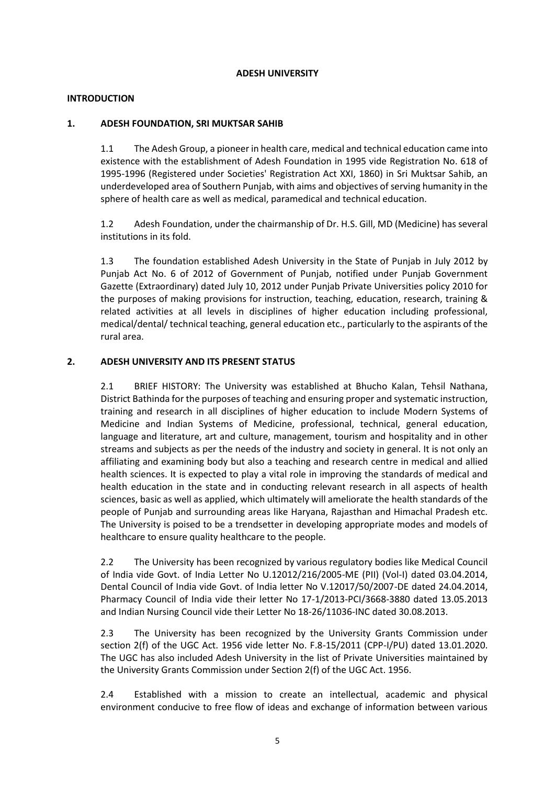#### **ADESH UNIVERSITY**

# **INTRODUCTION**

# **1. ADESH FOUNDATION, SRI MUKTSAR SAHIB**

1.1 The Adesh Group, a pioneer in health care, medical and technical education came into existence with the establishment of Adesh Foundation in 1995 vide Registration No. 618 of 1995-1996 (Registered under Societies' Registration Act XXI, 1860) in Sri Muktsar Sahib, an underdeveloped area of Southern Punjab, with aims and objectives of serving humanity in the sphere of health care as well as medical, paramedical and technical education.

1.2 Adesh Foundation, under the chairmanship of Dr. H.S. Gill, MD (Medicine) has several institutions in its fold.

1.3 The foundation established Adesh University in the State of Punjab in July 2012 by Punjab Act No. 6 of 2012 of Government of Punjab, notified under Punjab Government Gazette (Extraordinary) dated July 10, 2012 under Punjab Private Universities policy 2010 for the purposes of making provisions for instruction, teaching, education, research, training & related activities at all levels in disciplines of higher education including professional, medical/dental/ technical teaching, general education etc., particularly to the aspirants of the rural area.

# **2. ADESH UNIVERSITY AND ITS PRESENT STATUS**

2.1 BRIEF HISTORY: The University was established at Bhucho Kalan, Tehsil Nathana, District Bathinda for the purposes of teaching and ensuring proper and systematic instruction, training and research in all disciplines of higher education to include Modern Systems of Medicine and Indian Systems of Medicine, professional, technical, general education, language and literature, art and culture, management, tourism and hospitality and in other streams and subjects as per the needs of the industry and society in general. It is not only an affiliating and examining body but also a teaching and research centre in medical and allied health sciences. It is expected to play a vital role in improving the standards of medical and health education in the state and in conducting relevant research in all aspects of health sciences, basic as well as applied, which ultimately will ameliorate the health standards of the people of Punjab and surrounding areas like Haryana, Rajasthan and Himachal Pradesh etc. The University is poised to be a trendsetter in developing appropriate modes and models of healthcare to ensure quality healthcare to the people.

2.2 The University has been recognized by various regulatory bodies like Medical Council of India vide Govt. of India Letter No U.12012/216/2005-ME (PII) (Vol-I) dated 03.04.2014, Dental Council of India vide Govt. of India letter No V.12017/50/2007-DE dated 24.04.2014, Pharmacy Council of India vide their letter No 17-1/2013-PCI/3668-3880 dated 13.05.2013 and Indian Nursing Council vide their Letter No 18-26/11036-INC dated 30.08.2013.

2.3 The University has been recognized by the University Grants Commission under section 2(f) of the UGC Act. 1956 vide letter No. F.8-15/2011 (CPP-I/PU) dated 13.01.2020. The UGC has also included Adesh University in the list of Private Universities maintained by the University Grants Commission under Section 2(f) of the UGC Act. 1956.

2.4 Established with a mission to create an intellectual, academic and physical environment conducive to free flow of ideas and exchange of information between various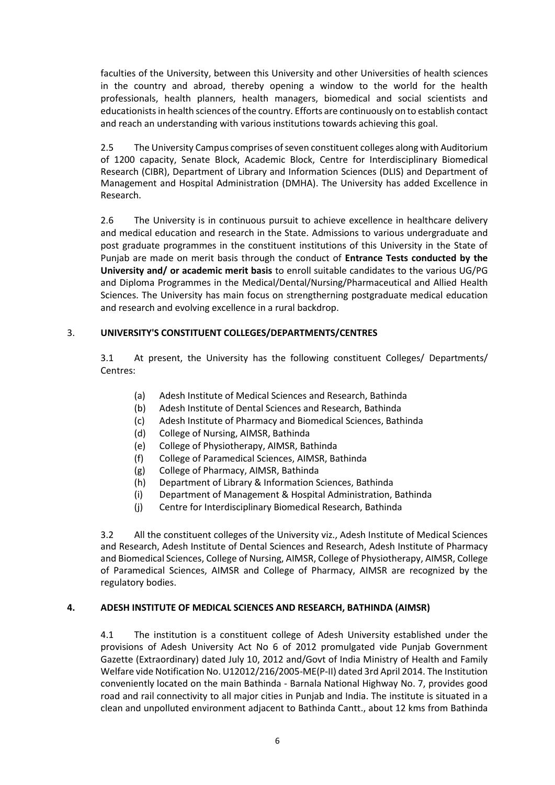faculties of the University, between this University and other Universities of health sciences in the country and abroad, thereby opening a window to the world for the health professionals, health planners, health managers, biomedical and social scientists and educationists in health sciences of the country. Efforts are continuously on to establish contact and reach an understanding with various institutions towards achieving this goal.

2.5 The University Campus comprises of seven constituent colleges along with Auditorium of 1200 capacity, Senate Block, Academic Block, Centre for Interdisciplinary Biomedical Research (CIBR), Department of Library and Information Sciences (DLIS) and Department of Management and Hospital Administration (DMHA). The University has added Excellence in Research.

2.6 The University is in continuous pursuit to achieve excellence in healthcare delivery and medical education and research in the State. Admissions to various undergraduate and post graduate programmes in the constituent institutions of this University in the State of Punjab are made on merit basis through the conduct of **Entrance Tests conducted by the University and/ or academic merit basis** to enroll suitable candidates to the various UG/PG and Diploma Programmes in the Medical/Dental/Nursing/Pharmaceutical and Allied Health Sciences. The University has main focus on strengtherning postgraduate medical education and research and evolving excellence in a rural backdrop.

# 3. **UNIVERSITY'S CONSTITUENT COLLEGES/DEPARTMENTS/CENTRES**

3.1 At present, the University has the following constituent Colleges/ Departments/ Centres:

- (a) Adesh Institute of Medical Sciences and Research, Bathinda
- (b) Adesh Institute of Dental Sciences and Research, Bathinda
- (c) Adesh Institute of Pharmacy and Biomedical Sciences, Bathinda
- (d) College of Nursing, AIMSR, Bathinda
- (e) College of Physiotherapy, AIMSR, Bathinda
- (f) College of Paramedical Sciences, AIMSR, Bathinda
- (g) College of Pharmacy, AIMSR, Bathinda
- (h) Department of Library & Information Sciences, Bathinda
- (i) Department of Management & Hospital Administration, Bathinda
- (j) Centre for Interdisciplinary Biomedical Research, Bathinda

3.2 All the constituent colleges of the University viz., Adesh Institute of Medical Sciences and Research, Adesh Institute of Dental Sciences and Research, Adesh Institute of Pharmacy and Biomedical Sciences, College of Nursing, AIMSR, College of Physiotherapy, AIMSR, College of Paramedical Sciences, AIMSR and College of Pharmacy, AIMSR are recognized by the regulatory bodies.

# **4. ADESH INSTITUTE OF MEDICAL SCIENCES AND RESEARCH, BATHINDA (AIMSR)**

4.1 The institution is a constituent college of Adesh University established under the provisions of Adesh University Act No 6 of 2012 promulgated vide Punjab Government Gazette (Extraordinary) dated July 10, 2012 and/Govt of India Ministry of Health and Family Welfare vide Notification No. U12012/216/2005-ME(P-II) dated 3rd April 2014. The Institution conveniently located on the main Bathinda - Barnala National Highway No. 7, provides good road and rail connectivity to all major cities in Punjab and India. The institute is situated in a clean and unpolluted environment adjacent to Bathinda Cantt., about 12 kms from Bathinda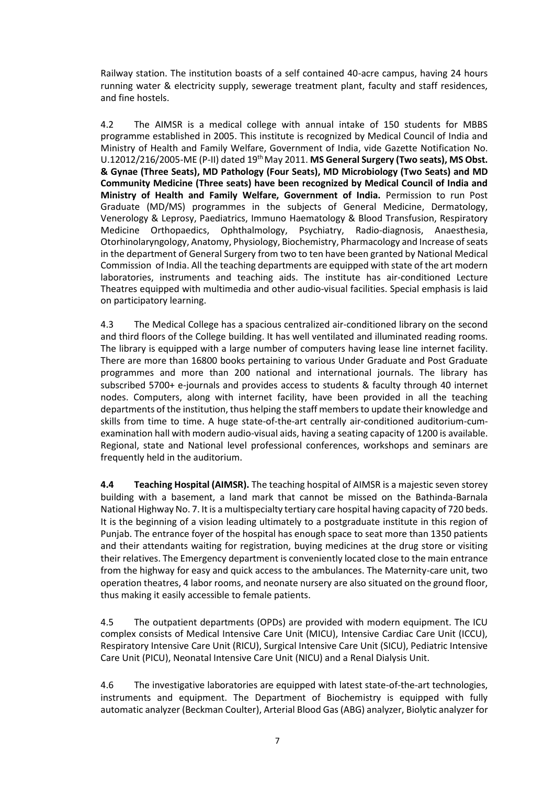Railway station. The institution boasts of a self contained 40-acre campus, having 24 hours running water & electricity supply, sewerage treatment plant, faculty and staff residences, and fine hostels.

4.2 The AIMSR is a medical college with annual intake of 150 students for MBBS programme established in 2005. This institute is recognized by Medical Council of India and Ministry of Health and Family Welfare, Government of India, vide Gazette Notification No. U.12012/216/2005-ME (P-II) dated 19thMay 2011. **MS General Surgery (Two seats), MS Obst. & Gynae (Three Seats), MD Pathology (Four Seats), MD Microbiology (Two Seats) and MD Community Medicine (Three seats) have been recognized by Medical Council of India and Ministry of Health and Family Welfare, Government of India.** Permission to run Post Graduate (MD/MS) programmes in the subjects of General Medicine, Dermatology, Venerology & Leprosy, Paediatrics, Immuno Haematology & Blood Transfusion, Respiratory Medicine Orthopaedics, Ophthalmology, Psychiatry, Radio-diagnosis, Anaesthesia, Otorhinolaryngology, Anatomy, Physiology, Biochemistry, Pharmacology and Increase of seats in the department of General Surgery from two to ten have been granted by National Medical Commission of India. All the teaching departments are equipped with state of the art modern laboratories, instruments and teaching aids. The institute has air-conditioned Lecture Theatres equipped with multimedia and other audio-visual facilities. Special emphasis is laid on participatory learning.

4.3 The Medical College has a spacious centralized air-conditioned library on the second and third floors of the College building. It has well ventilated and illuminated reading rooms. The library is equipped with a large number of computers having lease line internet facility. There are more than 16800 books pertaining to various Under Graduate and Post Graduate programmes and more than 200 national and international journals. The library has subscribed 5700+ e-journals and provides access to students & faculty through 40 internet nodes. Computers, along with internet facility, have been provided in all the teaching departments of the institution, thus helping the staff members to update their knowledge and skills from time to time. A huge state-of-the-art centrally air-conditioned auditorium-cumexamination hall with modern audio-visual aids, having a seating capacity of 1200 is available. Regional, state and National level professional conferences, workshops and seminars are frequently held in the auditorium.

**4.4 Teaching Hospital (AIMSR).** The teaching hospital of AIMSR is a majestic seven storey building with a basement, a land mark that cannot be missed on the Bathinda-Barnala National Highway No. 7. It is a multispecialty tertiary care hospital having capacity of 720 beds. It is the beginning of a vision leading ultimately to a postgraduate institute in this region of Punjab. The entrance foyer of the hospital has enough space to seat more than 1350 patients and their attendants waiting for registration, buying medicines at the drug store or visiting their relatives. The Emergency department is conveniently located close to the main entrance from the highway for easy and quick access to the ambulances. The Maternity-care unit, two operation theatres, 4 labor rooms, and neonate nursery are also situated on the ground floor, thus making it easily accessible to female patients.

4.5 The outpatient departments (OPDs) are provided with modern equipment. The ICU complex consists of Medical Intensive Care Unit (MICU), Intensive Cardiac Care Unit (ICCU), Respiratory Intensive Care Unit (RICU), Surgical Intensive Care Unit (SICU), Pediatric Intensive Care Unit (PICU), Neonatal Intensive Care Unit (NICU) and a Renal Dialysis Unit.

4.6 The investigative laboratories are equipped with latest state-of-the-art technologies, instruments and equipment. The Department of Biochemistry is equipped with fully automatic analyzer (Beckman Coulter), Arterial Blood Gas (ABG) analyzer, Biolytic analyzer for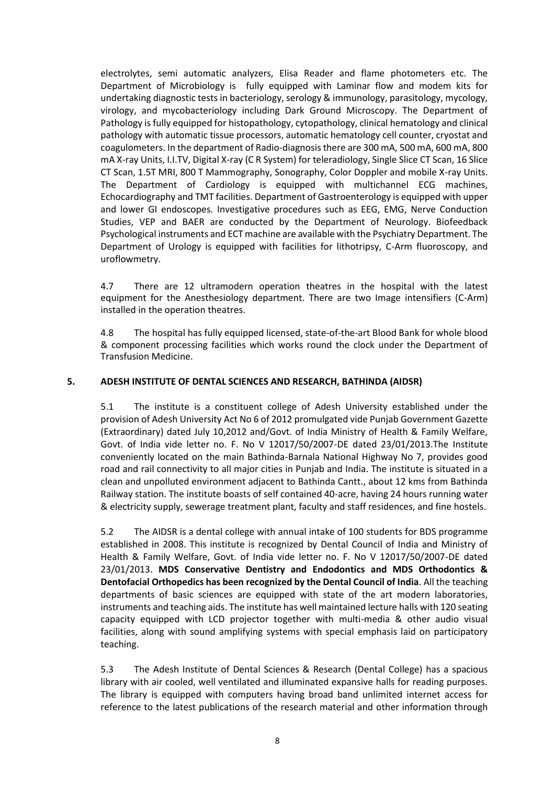electrolytes, semi automatic analyzers, Elisa Reader and flame photometers etc. The Department of Microbiology is fully equipped with Laminar flow and modem kits for undertaking diagnostic tests in bacteriology, serology & immunology, parasitology, mycology, virology, and mycobacteriology including Dark Ground Microscopy. The Department of Pathology is fully equipped for histopathology, cytopathology, clinical hematology and clinical pathology with automatic tissue processors, automatic hematology cell counter, cryostat and coagulometers. In the department of Radio-diagnosis there are 300 mA, 500 mA, 600 mA, 800 mA X-ray Units, I.I.TV, Digital X-ray (C R System) for teleradiology, Single Slice CT Scan, 16 Slice CT Scan, 1.5T MRI, 800 T Mammography, Sonography, Color Doppler and mobile X-ray Units. The Department of Cardiology is equipped with multichannel ECG machines, Echocardiography and TMT facilities. Department of Gastroenterology is equipped with upper and lower GI endoscopes. Investigative procedures such as EEG, EMG, Nerve Conduction Studies, VEP and BAER are conducted by the Department of Neurology. Biofeedback Psychological instruments and ECT machine are available with the Psychiatry Department. The Department of Urology is equipped with facilities for lithotripsy, C-Arm fluoroscopy, and uroflowmetry.

4.7 There are 12 ultramodern operation theatres in the hospital with the latest equipment for the Anesthesiology department. There are two Image intensifiers (C-Arm) installed in the operation theatres.

4.8 The hospital has fully equipped licensed, state-of-the-art Blood Bank for whole blood & component processing facilities which works round the clock under the Department of Transfusion Medicine.

# **5. ADESH INSTITUTE OF DENTAL SCIENCES AND RESEARCH, BATHINDA (AIDSR)**

5.1 The institute is a constituent college of Adesh University established under the provision of Adesh University Act No 6 of 2012 promulgated vide Punjab Government Gazette (Extraordinary) dated July 10,2012 and/Govt. of India Ministry of Health & Family Welfare, Govt. of India vide letter no. F. No V 12017/50/2007-DE dated 23/01/2013.The Institute conveniently located on the main Bathinda-Barnala National Highway No 7, provides good road and rail connectivity to all major cities in Punjab and India. The institute is situated in a clean and unpolluted environment adjacent to Bathinda Cantt., about 12 kms from Bathinda Railway station. The institute boasts of self contained 40-acre, having 24 hours running water & electricity supply, sewerage treatment plant, faculty and staff residences, and fine hostels.

5.2 The AIDSR is a dental college with annual intake of 100 students for BDS programme established in 2008. This institute is recognized by Dental Council of India and Ministry of Health & Family Welfare, Govt. of India vide letter no. F. No V 12017/50/2007-DE dated 23/01/2013. **MDS Conservative Dentistry and Endodontics and MDS Orthodontics & Dentofacial Orthopedics has been recognized by the Dental Council of India**. All the teaching departments of basic sciences are equipped with state of the art modern laboratories, instruments and teaching aids. The institute has well maintained lecture halls with 120 seating capacity equipped with LCD projector together with multi-media & other audio visual facilities, along with sound amplifying systems with special emphasis laid on participatory teaching.

5.3 The Adesh Institute of Dental Sciences & Research (Dental College) has a spacious library with air cooled, well ventilated and illuminated expansive halls for reading purposes. The library is equipped with computers having broad band unlimited internet access for reference to the latest publications of the research material and other information through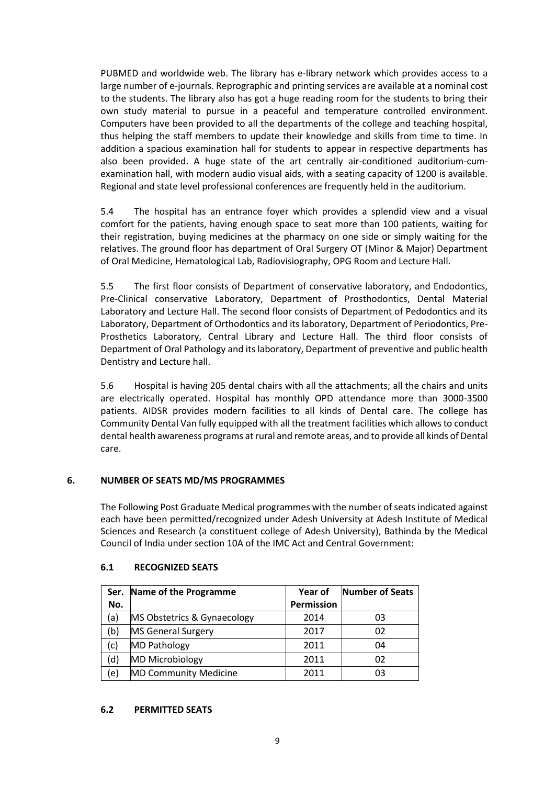PUBMED and worldwide web. The library has e-library network which provides access to a large number of e-journals. Reprographic and printing services are available at a nominal cost to the students. The library also has got a huge reading room for the students to bring their own study material to pursue in a peaceful and temperature controlled environment. Computers have been provided to all the departments of the college and teaching hospital, thus helping the staff members to update their knowledge and skills from time to time. In addition a spacious examination hall for students to appear in respective departments has also been provided. A huge state of the art centrally air-conditioned auditorium-cumexamination hall, with modern audio visual aids, with a seating capacity of 1200 is available. Regional and state level professional conferences are frequently held in the auditorium.

5.4 The hospital has an entrance foyer which provides a splendid view and a visual comfort for the patients, having enough space to seat more than 100 patients, waiting for their registration, buying medicines at the pharmacy on one side or simply waiting for the relatives. The ground floor has department of Oral Surgery OT (Minor & Major) Department of Oral Medicine, Hematological Lab, Radiovisiography, OPG Room and Lecture Hall.

5.5 The first floor consists of Department of conservative laboratory, and Endodontics, Pre-Clinical conservative Laboratory, Department of Prosthodontics, Dental Material Laboratory and Lecture Hall. The second floor consists of Department of Pedodontics and its Laboratory, Department of Orthodontics and its laboratory, Department of Periodontics, Pre-Prosthetics Laboratory, Central Library and Lecture Hall. The third floor consists of Department of Oral Pathology and its laboratory, Department of preventive and public health Dentistry and Lecture hall.

5.6 Hospital is having 205 dental chairs with all the attachments; all the chairs and units are electrically operated. Hospital has monthly OPD attendance more than 3000-3500 patients. AIDSR provides modern facilities to all kinds of Dental care. The college has Community Dental Van fully equipped with all the treatment facilities which allows to conduct dental health awareness programs at rural and remote areas, and to provide all kinds of Dental care.

# **6. NUMBER OF SEATS MD/MS PROGRAMMES**

The Following Post Graduate Medical programmes with the number of seats indicated against each have been permitted/recognized under Adesh University at Adesh Institute of Medical Sciences and Research (a constituent college of Adesh University), Bathinda by the Medical Council of India under section 10A of the IMC Act and Central Government:

| Ser. | Name of the Programme        | Year of           | <b>Number of Seats</b> |
|------|------------------------------|-------------------|------------------------|
| No.  |                              | <b>Permission</b> |                        |
| (a)  | MS Obstetrics & Gynaecology  | 2014              | 03                     |
| (b)  | <b>MS General Surgery</b>    | 2017              | 02                     |
| (c)  | <b>MD Pathology</b>          | 2011              | 04                     |
| (d)  | <b>MD Microbiology</b>       | 2011              | 02                     |
| e),  | <b>MD Community Medicine</b> | 2011              | 03                     |

# **6.1 RECOGNIZED SEATS**

# **6.2 PERMITTED SEATS**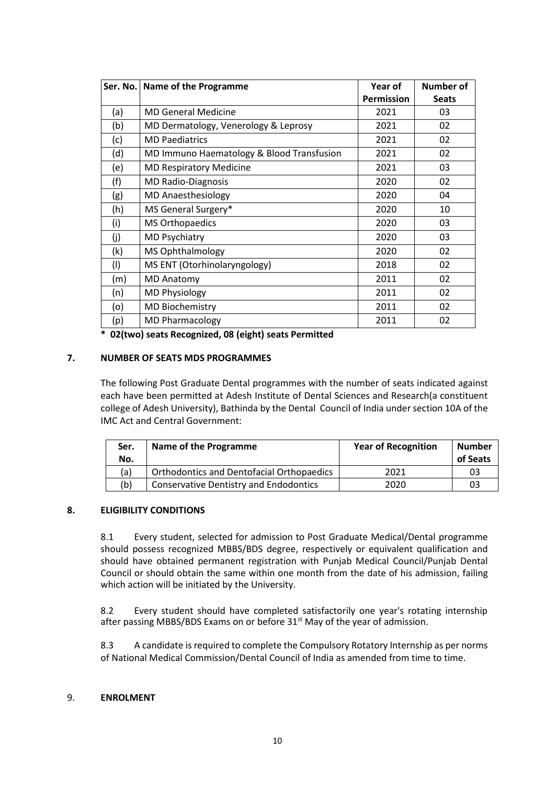|     | Ser. No.   Name of the Programme          | Year of           | <b>Number of</b> |
|-----|-------------------------------------------|-------------------|------------------|
|     |                                           | <b>Permission</b> | <b>Seats</b>     |
| (a) | <b>MD General Medicine</b>                | 2021              | 03               |
| (b) | MD Dermatology, Venerology & Leprosy      | 2021              | 02               |
| (c) | <b>MD Paediatrics</b>                     | 2021              | 02               |
| (d) | MD Immuno Haematology & Blood Transfusion | 2021              | 02               |
| (e) | <b>MD Respiratory Medicine</b>            | 2021              | 03               |
| (f) | <b>MD Radio-Diagnosis</b>                 | 2020              | 02               |
| (g) | <b>MD Anaesthesiology</b>                 | 2020              | 04               |
| (h) | MS General Surgery*                       | 2020              | 10               |
| (i) | <b>MS Orthopaedics</b>                    | 2020              | 03               |
| (j) | <b>MD Psychiatry</b>                      | 2020              | 03               |
| (k) | <b>MS Ophthalmology</b>                   | 2020              | 02               |
| (1) | MS ENT (Otorhinolaryngology)              | 2018              | 02               |
| (m) | <b>MD Anatomy</b>                         | 2011              | 02               |
| (n) | <b>MD Physiology</b>                      | 2011              | 02               |
| (o) | <b>MD Biochemistry</b>                    | 2011              | 02               |
| (p) | <b>MD Pharmacology</b>                    | 2011              | 02               |

**\* 02(two) seats Recognized, 08 (eight) seats Permitted** 

# **7. NUMBER OF SEATS MDS PROGRAMMES**

The following Post Graduate Dental programmes with the number of seats indicated against each have been permitted at Adesh Institute of Dental Sciences and Research(a constituent college of Adesh University), Bathinda by the Dental Council of India under section 10A of the IMC Act and Central Government:

| Ser.<br>No. | Name of the Programme                            | <b>Year of Recognition</b> | Number<br>of Seats |
|-------------|--------------------------------------------------|----------------------------|--------------------|
| (a)         | <b>Orthodontics and Dentofacial Orthopaedics</b> | 2021                       | 03                 |
| (b)         | <b>Conservative Dentistry and Endodontics</b>    | 2020                       | 03                 |

# **8. ELIGIBILITY CONDITIONS**

8.1 Every student, selected for admission to Post Graduate Medical/Dental programme should possess recognized MBBS/BDS degree, respectively or equivalent qualification and should have obtained permanent registration with Punjab Medical Council/Punjab Dental Council or should obtain the same within one month from the date of his admission, failing which action will be initiated by the University.

8.2 Every student should have completed satisfactorily one year's rotating internship after passing MBBS/BDS Exams on or before 31<sup>st</sup> May of the year of admission.

8.3 A candidate is required to complete the Compulsory Rotatory Internship as per norms of National Medical Commission/Dental Council of India as amended from time to time.

# 9. **ENROLMENT**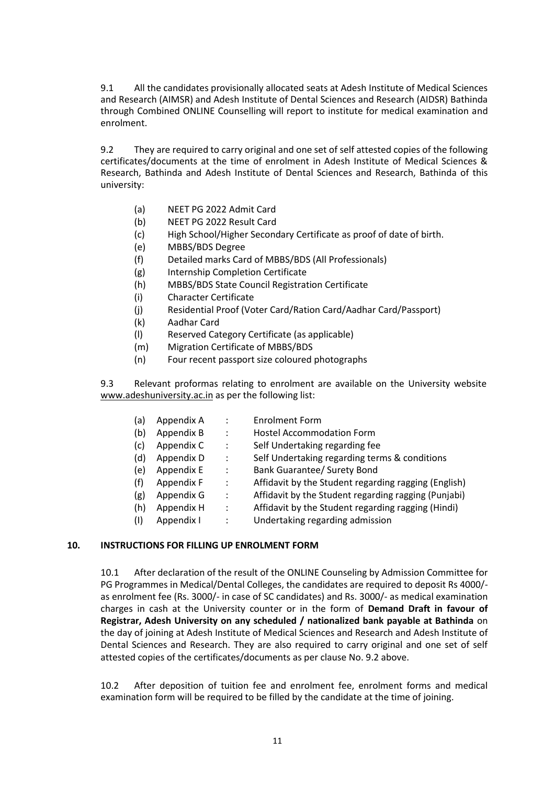9.1 All the candidates provisionally allocated seats at Adesh Institute of Medical Sciences and Research (AIMSR) and Adesh Institute of Dental Sciences and Research (AIDSR) Bathinda through Combined ONLINE Counselling will report to institute for medical examination and enrolment.

9.2 They are required to carry original and one set of self attested copies of the following certificates/documents at the time of enrolment in Adesh Institute of Medical Sciences & Research, Bathinda and Adesh Institute of Dental Sciences and Research, Bathinda of this university:

- (a) NEET PG 2022 Admit Card
- (b) NEET PG 2022 Result Card
- (c) High School/Higher Secondary Certificate as proof of date of birth.
- (e) MBBS/BDS Degree
- (f) Detailed marks Card of MBBS/BDS (All Professionals)
- (g) Internship Completion Certificate
- (h) MBBS/BDS State Council Registration Certificate
- (i) Character Certificate
- (j) Residential Proof (Voter Card/Ration Card/Aadhar Card/Passport)
- (k) Aadhar Card
- (l) Reserved Category Certificate (as applicable)
- (m) Migration Certificate of MBBS/BDS
- (n) Four recent passport size coloured photographs

9.3 Relevant proformas relating to enrolment are available on the University website [www.adeshuniversity.ac.in](http://www.adeshuniversity.ac.in/) as per the following list:

| (a) | Appendix A | $\ddot{\cdot}$       | <b>Enrolment Form</b>                                |
|-----|------------|----------------------|------------------------------------------------------|
| (b) | Appendix B | $\ddot{\cdot}$       | <b>Hostel Accommodation Form</b>                     |
| (c) | Appendix C | $\ddot{\cdot}$       | Self Undertaking regarding fee                       |
| (d) | Appendix D | $\ddot{\cdot}$       | Self Undertaking regarding terms & conditions        |
| (e) | Appendix E | $\ddot{\cdot}$       | <b>Bank Guarantee/ Surety Bond</b>                   |
| (f) | Appendix F | $\ddot{\cdot}$       | Affidavit by the Student regarding ragging (English) |
| (g) | Appendix G | $\ddot{\phantom{a}}$ | Affidavit by the Student regarding ragging (Punjabi) |
| (h) | Appendix H | $\ddot{\cdot}$       | Affidavit by the Student regarding ragging (Hindi)   |
| (1) | Appendix I | $\ddot{\cdot}$       | Undertaking regarding admission                      |

# **10. INSTRUCTIONS FOR FILLING UP ENROLMENT FORM**

10.1 After declaration of the result of the ONLINE Counseling by Admission Committee for PG Programmes in Medical/Dental Colleges, the candidates are required to deposit Rs 4000/ as enrolment fee (Rs. 3000/- in case of SC candidates) and Rs. 3000/- as medical examination charges in cash at the University counter or in the form of **Demand Draft in favour of Registrar, Adesh University on any scheduled / nationalized bank payable at Bathinda** on the day of joining at Adesh Institute of Medical Sciences and Research and Adesh Institute of Dental Sciences and Research. They are also required to carry original and one set of self attested copies of the certificates/documents as per clause No. 9.2 above.

10.2 After deposition of tuition fee and enrolment fee, enrolment forms and medical examination form will be required to be filled by the candidate at the time of joining.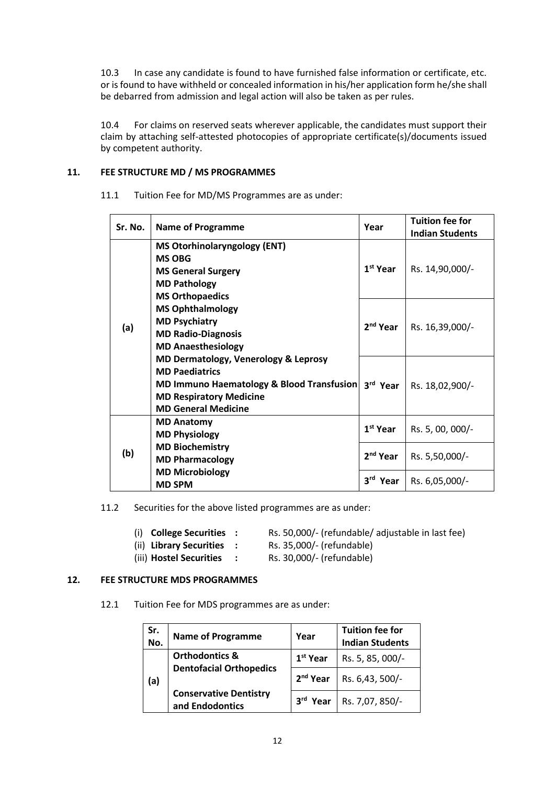10.3 In case any candidate is found to have furnished false information or certificate, etc. or is found to have withheld or concealed information in his/her application form he/she shall be debarred from admission and legal action will also be taken as per rules.

10.4 For claims on reserved seats wherever applicable, the candidates must support their claim by attaching self-attested photocopies of appropriate certificate(s)/documents issued by competent authority.

# **11. FEE STRUCTURE MD / MS PROGRAMMES**

| Sr. No. | <b>Name of Programme</b>                  | Year                 | <b>Tuition fee for</b><br><b>Indian Students</b> |
|---------|-------------------------------------------|----------------------|--------------------------------------------------|
|         | <b>MS Otorhinolaryngology (ENT)</b>       |                      |                                                  |
|         | <b>MS OBG</b>                             |                      |                                                  |
|         | <b>MS General Surgery</b>                 | 1 <sup>st</sup> Year | Rs. 14,90,000/-                                  |
|         | <b>MD Pathology</b>                       |                      |                                                  |
|         | <b>MS Orthopaedics</b>                    |                      |                                                  |
|         | <b>MS Ophthalmology</b>                   |                      |                                                  |
| (a)     | <b>MD Psychiatry</b>                      | 2 <sup>nd</sup> Year | Rs. 16,39,000/-                                  |
|         | <b>MD Radio-Diagnosis</b>                 |                      |                                                  |
|         | <b>MD Anaesthesiology</b>                 |                      |                                                  |
|         | MD Dermatology, Venerology & Leprosy      |                      |                                                  |
|         | <b>MD Paediatrics</b>                     |                      |                                                  |
|         | MD Immuno Haematology & Blood Transfusion | 3rd Year             | Rs. 18,02,900/-                                  |
|         | <b>MD Respiratory Medicine</b>            |                      |                                                  |
|         | <b>MD General Medicine</b>                |                      |                                                  |
|         | <b>MD Anatomy</b>                         | 1 <sup>st</sup> Year |                                                  |
| (b)     | <b>MD Physiology</b>                      |                      | Rs. 5, 00, 000/-                                 |
|         | <b>MD Biochemistry</b>                    |                      |                                                  |
|         | <b>MD Pharmacology</b>                    | 2 <sup>nd</sup> Year | Rs. 5,50,000/-                                   |
|         | <b>MD Microbiology</b>                    |                      |                                                  |
|         | <b>MD SPM</b>                             | 3rd Year             | Rs. 6,05,000/-                                   |

11.1 Tuition Fee for MD/MS Programmes are as under:

11.2 Securities for the above listed programmes are as under:

- 
- (i) **College Securities :** Rs. 50,000/- (refundable/ adjustable in last fee)
- 
- (ii) **Library Securities :** Rs. 35,000/- (refundable)
- 
- (iii) **Hostel Securities :** Rs. 30,000/- (refundable)

# **12. FEE STRUCTURE MDS PROGRAMMES**

12.1 Tuition Fee for MDS programmes are as under:

| Sr.<br>No. | <b>Name of Programme</b>                         | Year                 | <b>Tuition fee for</b><br><b>Indian Students</b> |
|------------|--------------------------------------------------|----------------------|--------------------------------------------------|
|            | <b>Orthodontics &amp;</b>                        | 1 <sup>st</sup> Year | Rs. 5, 85, 000/-                                 |
| (a)        | <b>Dentofacial Orthopedics</b>                   | 2 <sup>nd</sup> Year | Rs. 6,43, 500/-                                  |
|            | <b>Conservative Dentistry</b><br>and Endodontics | 3rd Year             | Rs. 7,07, 850/-                                  |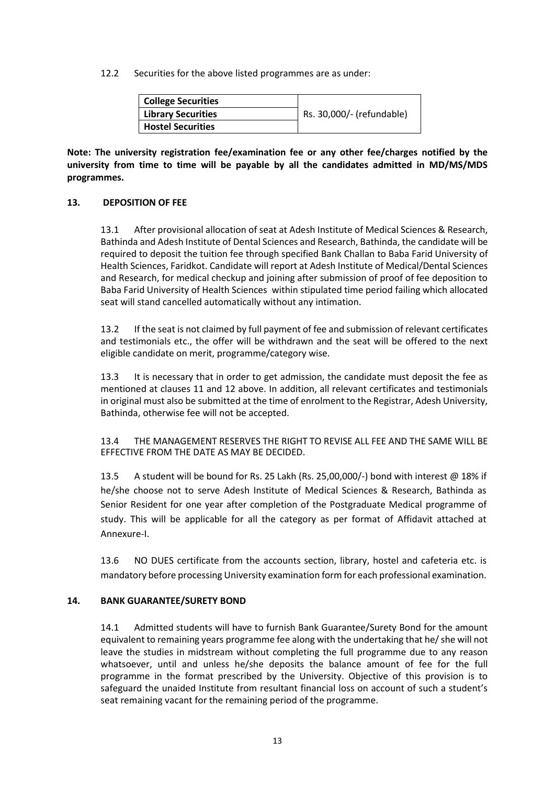12.2 Securities for the above listed programmes are as under:

| <b>College Securities</b> |                           |
|---------------------------|---------------------------|
| <b>Library Securities</b> | Rs. 30,000/- (refundable) |
| Hostel Securities         |                           |

**Note: The university registration fee/examination fee or any other fee/charges notified by the university from time to time will be payable by all the candidates admitted in MD/MS/MDS programmes.**

# **13. DEPOSITION OF FEE**

13.1 After provisional allocation of seat at Adesh Institute of Medical Sciences & Research, Bathinda and Adesh Institute of Dental Sciences and Research, Bathinda, the candidate will be required to deposit the tuition fee through specified Bank Challan to Baba Farid University of Health Sciences, Faridkot. Candidate will report at Adesh Institute of Medical/Dental Sciences and Research, for medical checkup and joining after submission of proof of fee deposition to Baba Farid University of Health Sciences within stipulated time period failing which allocated seat will stand cancelled automatically without any intimation.

13.2 If the seat is not claimed by full payment of fee and submission of relevant certificates and testimonials etc., the offer will be withdrawn and the seat will be offered to the next eligible candidate on merit, programme/category wise.

13.3 It is necessary that in order to get admission, the candidate must deposit the fee as mentioned at clauses 11 and 12 above. In addition, all relevant certificates and testimonials in original must also be submitted at the time of enrolment to the Registrar, Adesh University, Bathinda, otherwise fee will not be accepted.

13.4 THE MANAGEMENT RESERVES THE RIGHT TO REVISE ALL FEE AND THE SAME WILL BE EFFECTIVE FROM THE DATE AS MAY BE DECIDED.

13.5 A student will be bound for Rs. 25 Lakh (Rs. 25,00,000/-) bond with interest @ 18% if he/she choose not to serve Adesh Institute of Medical Sciences & Research, Bathinda as Senior Resident for one year after completion of the Postgraduate Medical programme of study. This will be applicable for all the category as per format of Affidavit attached at Annexure-I.

13.6 NO DUES certificate from the accounts section, library, hostel and cafeteria etc. is mandatory before processing University examination form for each professional examination.

# **14. BANK GUARANTEE/SURETY BOND**

14.1 Admitted students will have to furnish Bank Guarantee/Surety Bond for the amount equivalent to remaining years programme fee along with the undertaking that he/ she will not leave the studies in midstream without completing the full programme due to any reason whatsoever, until and unless he/she deposits the balance amount of fee for the full programme in the format prescribed by the University. Objective of this provision is to safeguard the unaided Institute from resultant financial loss on account of such a student's seat remaining vacant for the remaining period of the programme.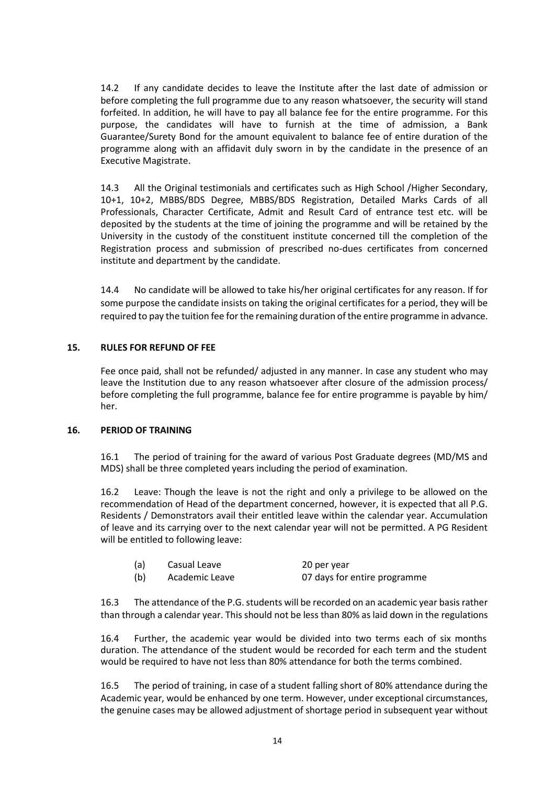14.2 If any candidate decides to leave the Institute after the last date of admission or before completing the full programme due to any reason whatsoever, the security will stand forfeited. In addition, he will have to pay all balance fee for the entire programme. For this purpose, the candidates will have to furnish at the time of admission, a Bank Guarantee/Surety Bond for the amount equivalent to balance fee of entire duration of the programme along with an affidavit duly sworn in by the candidate in the presence of an Executive Magistrate.

14.3 All the Original testimonials and certificates such as High School /Higher Secondary, 10+1, 10+2, MBBS/BDS Degree, MBBS/BDS Registration, Detailed Marks Cards of all Professionals, Character Certificate, Admit and Result Card of entrance test etc. will be deposited by the students at the time of joining the programme and will be retained by the University in the custody of the constituent institute concerned till the completion of the Registration process and submission of prescribed no-dues certificates from concerned institute and department by the candidate.

14.4 No candidate will be allowed to take his/her original certificates for any reason. If for some purpose the candidate insists on taking the original certificates for a period, they will be required to pay the tuition fee for the remaining duration of the entire programme in advance.

# **15. RULES FOR REFUND OF FEE**

Fee once paid, shall not be refunded/ adjusted in any manner. In case any student who may leave the Institution due to any reason whatsoever after closure of the admission process/ before completing the full programme, balance fee for entire programme is payable by him/ her.

# **16. PERIOD OF TRAINING**

16.1 The period of training for the award of various Post Graduate degrees (MD/MS and MDS) shall be three completed years including the period of examination.

16.2 Leave: Though the leave is not the right and only a privilege to be allowed on the recommendation of Head of the department concerned, however, it is expected that all P.G. Residents / Demonstrators avail their entitled leave within the calendar year. Accumulation of leave and its carrying over to the next calendar year will not be permitted. A PG Resident will be entitled to following leave:

| (a) | Casual Leave   | 20 per year                  |
|-----|----------------|------------------------------|
| (b) | Academic Leave | 07 days for entire programme |

16.3 The attendance of the P.G. students will be recorded on an academic year basis rather than through a calendar year. This should not be less than 80% as laid down in the regulations

16.4 Further, the academic year would be divided into two terms each of six months duration. The attendance of the student would be recorded for each term and the student would be required to have not less than 80% attendance for both the terms combined.

16.5 The period of training, in case of a student falling short of 80% attendance during the Academic year, would be enhanced by one term. However, under exceptional circumstances, the genuine cases may be allowed adjustment of shortage period in subsequent year without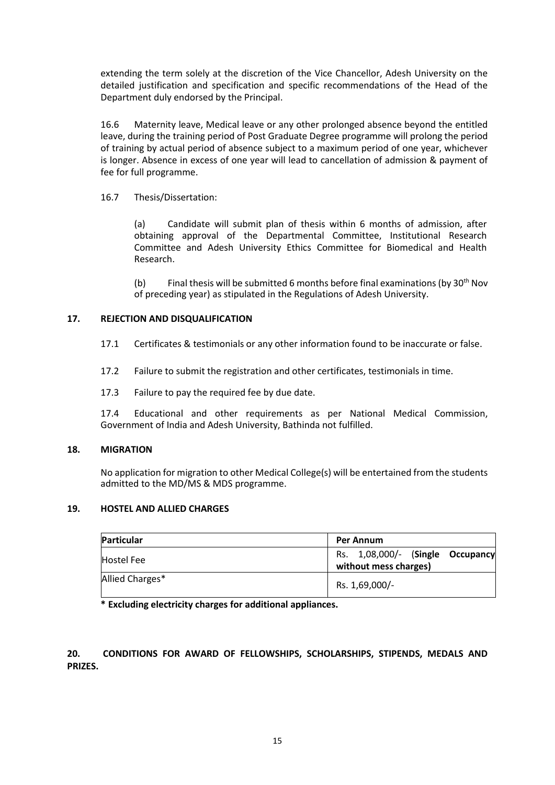extending the term solely at the discretion of the Vice Chancellor, Adesh University on the detailed justification and specification and specific recommendations of the Head of the Department duly endorsed by the Principal.

16.6 Maternity leave, Medical leave or any other prolonged absence beyond the entitled leave, during the training period of Post Graduate Degree programme will prolong the period of training by actual period of absence subject to a maximum period of one year, whichever is longer. Absence in excess of one year will lead to cancellation of admission & payment of fee for full programme.

16.7 Thesis/Dissertation:

(a) Candidate will submit plan of thesis within 6 months of admission, after obtaining approval of the Departmental Committee, Institutional Research Committee and Adesh University Ethics Committee for Biomedical and Health Research.

(b) Final thesis will be submitted 6 months before final examinations (by  $30<sup>th</sup>$  Nov of preceding year) as stipulated in the Regulations of Adesh University.

# **17. REJECTION AND DISQUALIFICATION**

- 17.1 Certificates & testimonials or any other information found to be inaccurate or false.
- 17.2 Failure to submit the registration and other certificates, testimonials in time.
- 17.3 Failure to pay the required fee by due date.

17.4 Educational and other requirements as per National Medical Commission, Government of India and Adesh University, Bathinda not fulfilled.

# **18. MIGRATION**

No application for migration to other Medical College(s) will be entertained from the students admitted to the MD/MS & MDS programme.

# **19. HOSTEL AND ALLIED CHARGES**

| Particular        | <b>Per Annum</b>                                          |  |  |
|-------------------|-----------------------------------------------------------|--|--|
| <b>Hostel Fee</b> | Rs. 1,08,000/- (Single Occupancy<br>without mess charges) |  |  |
| Allied Charges*   | Rs. 1,69,000/-                                            |  |  |

**\* Excluding electricity charges for additional appliances.**

**20. CONDITIONS FOR AWARD OF FELLOWSHIPS, SCHOLARSHIPS, STIPENDS, MEDALS AND PRIZES.**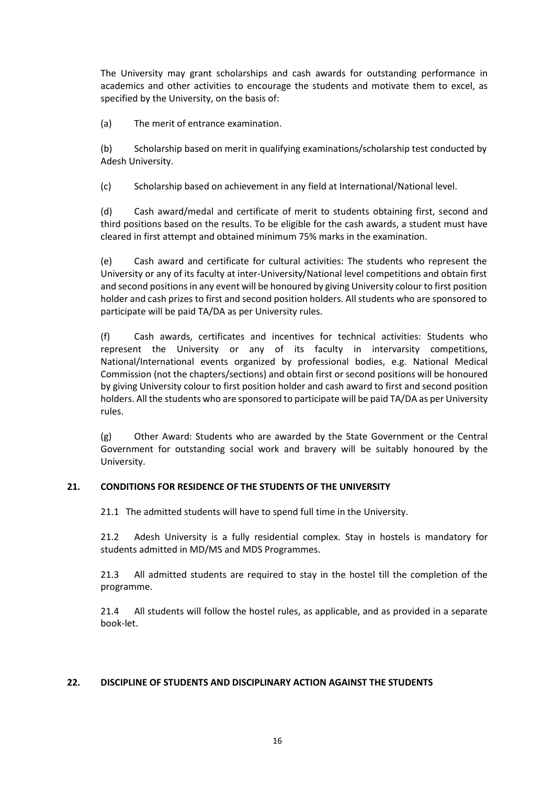The University may grant scholarships and cash awards for outstanding performance in academics and other activities to encourage the students and motivate them to excel, as specified by the University, on the basis of:

(a) The merit of entrance examination.

(b) Scholarship based on merit in qualifying examinations/scholarship test conducted by Adesh University.

(c) Scholarship based on achievement in any field at International/National level.

(d) Cash award/medal and certificate of merit to students obtaining first, second and third positions based on the results. To be eligible for the cash awards, a student must have cleared in first attempt and obtained minimum 75% marks in the examination.

(e) Cash award and certificate for cultural activities: The students who represent the University or any of its faculty at inter-University/National level competitions and obtain first and second positions in any event will be honoured by giving University colour to first position holder and cash prizes to first and second position holders. All students who are sponsored to participate will be paid TA/DA as per University rules.

(f) Cash awards, certificates and incentives for technical activities: Students who represent the University or any of its faculty in intervarsity competitions, National/International events organized by professional bodies, e.g. National Medical Commission (not the chapters/sections) and obtain first or second positions will be honoured by giving University colour to first position holder and cash award to first and second position holders. All the students who are sponsored to participate will be paid TA/DA as per University rules.

(g) Other Award: Students who are awarded by the State Government or the Central Government for outstanding social work and bravery will be suitably honoured by the University.

# **21. CONDITIONS FOR RESIDENCE OF THE STUDENTS OF THE UNIVERSITY**

21.1 The admitted students will have to spend full time in the University.

21.2 Adesh University is a fully residential complex. Stay in hostels is mandatory for students admitted in MD/MS and MDS Programmes.

21.3 All admitted students are required to stay in the hostel till the completion of the programme.

21.4 All students will follow the hostel rules, as applicable, and as provided in a separate book-let.

# **22. DISCIPLINE OF STUDENTS AND DISCIPLINARY ACTION AGAINST THE STUDENTS**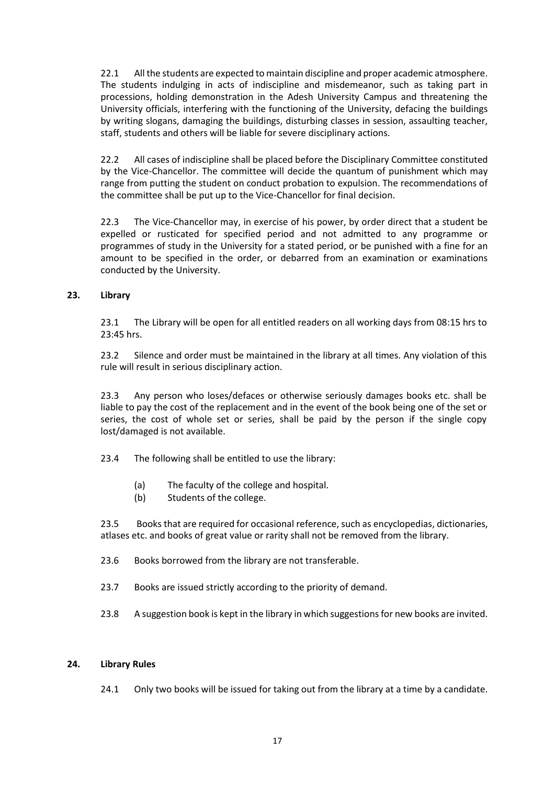22.1 All the students are expected to maintain discipline and proper academic atmosphere. The students indulging in acts of indiscipline and misdemeanor, such as taking part in processions, holding demonstration in the Adesh University Campus and threatening the University officials, interfering with the functioning of the University, defacing the buildings by writing slogans, damaging the buildings, disturbing classes in session, assaulting teacher, staff, students and others will be liable for severe disciplinary actions.

22.2 All cases of indiscipline shall be placed before the Disciplinary Committee constituted by the Vice-Chancellor. The committee will decide the quantum of punishment which may range from putting the student on conduct probation to expulsion. The recommendations of the committee shall be put up to the Vice-Chancellor for final decision.

22.3 The Vice-Chancellor may, in exercise of his power, by order direct that a student be expelled or rusticated for specified period and not admitted to any programme or programmes of study in the University for a stated period, or be punished with a fine for an amount to be specified in the order, or debarred from an examination or examinations conducted by the University.

# **23. Library**

23.1 The Library will be open for all entitled readers on all working days from 08:15 hrs to 23:45 hrs.

23.2 Silence and order must be maintained in the library at all times. Any violation of this rule will result in serious disciplinary action.

23.3 Any person who loses/defaces or otherwise seriously damages books etc. shall be liable to pay the cost of the replacement and in the event of the book being one of the set or series, the cost of whole set or series, shall be paid by the person if the single copy lost/damaged is not available.

23.4 The following shall be entitled to use the library:

- (a) The faculty of the college and hospital.
- (b) Students of the college.

23.5 Books that are required for occasional reference, such as encyclopedias, dictionaries, atlases etc. and books of great value or rarity shall not be removed from the library.

- 23.6 Books borrowed from the library are not transferable.
- 23.7 Books are issued strictly according to the priority of demand.
- 23.8 A suggestion book is kept in the library in which suggestions for new books are invited.

# **24. Library Rules**

24.1 Only two books will be issued for taking out from the library at a time by a candidate.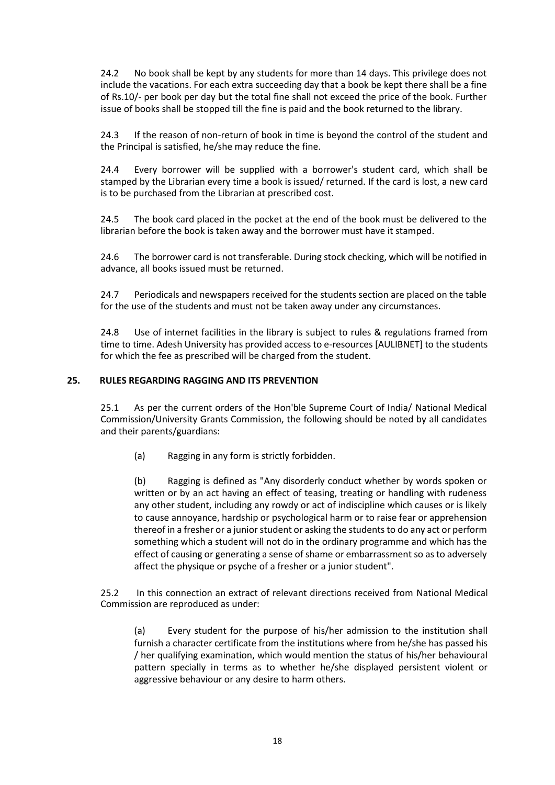24.2 No book shall be kept by any students for more than 14 days. This privilege does not include the vacations. For each extra succeeding day that a book be kept there shall be a fine of Rs.10/- per book per day but the total fine shall not exceed the price of the book. Further issue of books shall be stopped till the fine is paid and the book returned to the library.

24.3 If the reason of non-return of book in time is beyond the control of the student and the Principal is satisfied, he/she may reduce the fine.

24.4 Every borrower will be supplied with a borrower's student card, which shall be stamped by the Librarian every time a book is issued/ returned. If the card is lost, a new card is to be purchased from the Librarian at prescribed cost.

24.5 The book card placed in the pocket at the end of the book must be delivered to the librarian before the book is taken away and the borrower must have it stamped.

24.6 The borrower card is not transferable. During stock checking, which will be notified in advance, all books issued must be returned.

24.7 Periodicals and newspapers received for the students section are placed on the table for the use of the students and must not be taken away under any circumstances.

24.8 Use of internet facilities in the library is subject to rules & regulations framed from time to time. Adesh University has provided access to e-resources [AULIBNET] to the students for which the fee as prescribed will be charged from the student.

# **25. RULES REGARDING RAGGING AND ITS PREVENTION**

25.1 As per the current orders of the Hon'ble Supreme Court of India/ National Medical Commission/University Grants Commission, the following should be noted by all candidates and their parents/guardians:

(a) Ragging in any form is strictly forbidden.

(b) Ragging is defined as "Any disorderly conduct whether by words spoken or written or by an act having an effect of teasing, treating or handling with rudeness any other student, including any rowdy or act of indiscipline which causes or is likely to cause annoyance, hardship or psychological harm or to raise fear or apprehension thereof in a fresher or a junior student or asking the students to do any act or perform something which a student will not do in the ordinary programme and which has the effect of causing or generating a sense of shame or embarrassment so as to adversely affect the physique or psyche of a fresher or a junior student".

25.2 In this connection an extract of relevant directions received from National Medical Commission are reproduced as under:

(a) Every student for the purpose of his/her admission to the institution shall furnish a character certificate from the institutions where from he/she has passed his / her qualifying examination, which would mention the status of his/her behavioural pattern specially in terms as to whether he/she displayed persistent violent or aggressive behaviour or any desire to harm others.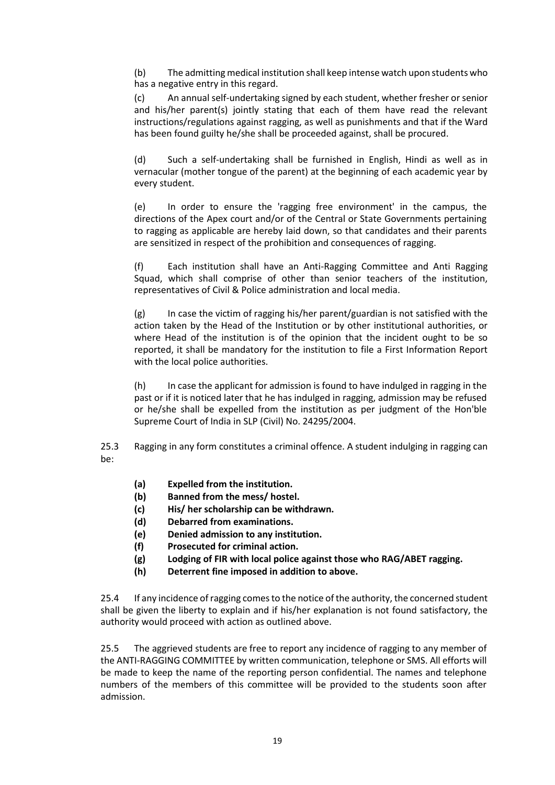(b) The admitting medical institution shall keep intense watch upon students who has a negative entry in this regard.

(c) An annual self-undertaking signed by each student, whether fresher or senior and his/her parent(s) jointly stating that each of them have read the relevant instructions/regulations against ragging, as well as punishments and that if the Ward has been found guilty he/she shall be proceeded against, shall be procured.

(d) Such a self-undertaking shall be furnished in English, Hindi as well as in vernacular (mother tongue of the parent) at the beginning of each academic year by every student.

(e) In order to ensure the 'ragging free environment' in the campus, the directions of the Apex court and/or of the Central or State Governments pertaining to ragging as applicable are hereby laid down, so that candidates and their parents are sensitized in respect of the prohibition and consequences of ragging.

(f) Each institution shall have an Anti-Ragging Committee and Anti Ragging Squad, which shall comprise of other than senior teachers of the institution, representatives of Civil & Police administration and local media.

 $(g)$  In case the victim of ragging his/her parent/guardian is not satisfied with the action taken by the Head of the Institution or by other institutional authorities, or where Head of the institution is of the opinion that the incident ought to be so reported, it shall be mandatory for the institution to file a First Information Report with the local police authorities.

(h) In case the applicant for admission is found to have indulged in ragging in the past or if it is noticed later that he has indulged in ragging, admission may be refused or he/she shall be expelled from the institution as per judgment of the Hon'ble Supreme Court of India in SLP (Civil) No. 24295/2004.

25.3 Ragging in any form constitutes a criminal offence. A student indulging in ragging can be:

- **(a) Expelled from the institution.**
- **(b) Banned from the mess/ hostel.**
- **(c) His/ her scholarship can be withdrawn.**
- **(d) Debarred from examinations.**
- **(e) Denied admission to any institution.**
- **(f) Prosecuted for criminal action.**
- **(g) Lodging of FIR with local police against those who RAG/ABET ragging.**
- **(h) Deterrent fine imposed in addition to above.**

25.4 If any incidence of ragging comes to the notice of the authority, the concerned student shall be given the liberty to explain and if his/her explanation is not found satisfactory, the authority would proceed with action as outlined above.

25.5 The aggrieved students are free to report any incidence of ragging to any member of the ANTI-RAGGING COMMITTEE by written communication, telephone or SMS. All efforts will be made to keep the name of the reporting person confidential. The names and telephone numbers of the members of this committee will be provided to the students soon after admission.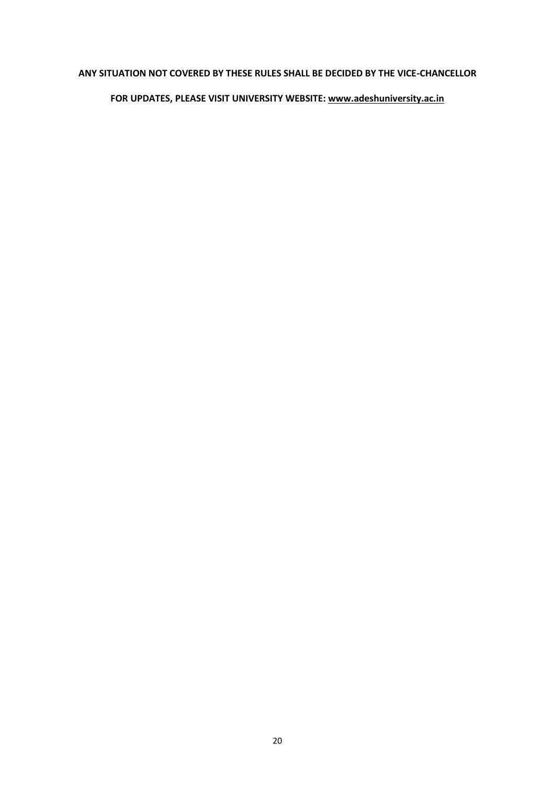# **ANY SITUATION NOT COVERED BY THESE RULES SHALL BE DECIDED BY THE VICE-CHANCELLOR**

# **FOR UPDATES, PLEASE VISIT UNIVERSITY WEBSITE: [www.adeshuniversity.ac.in](http://www.adeshuniversity.ac.in/)**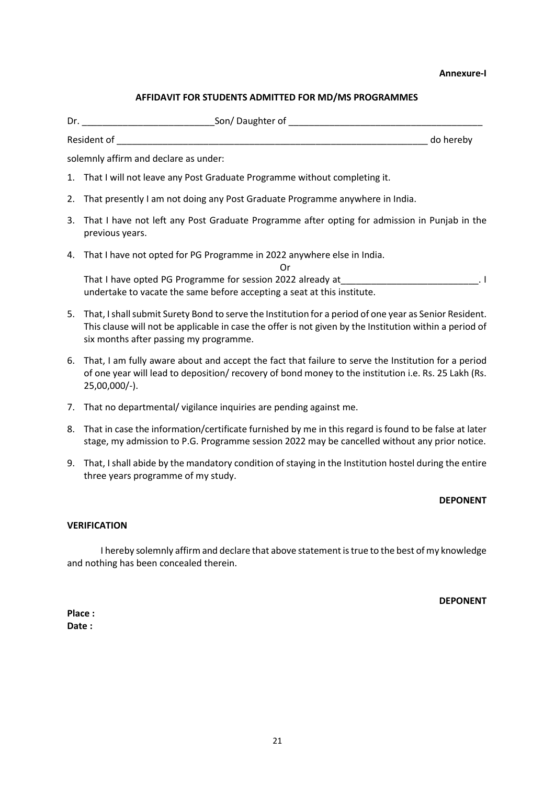#### **Annexure-I**

# **AFFIDAVIT FOR STUDENTS ADMITTED FOR MD/MS PROGRAMMES**

| Resident of                                                                                                        | do hereby |
|--------------------------------------------------------------------------------------------------------------------|-----------|
| solemnly affirm and declare as under:                                                                              |           |
| 1. That I will not leave any Post Graduate Programme without completing it.                                        |           |
| 2. That presently I am not doing any Post Graduate Programme anywhere in India.                                    |           |
| 3. That I have not left any Post Graduate Programme after opting for admission in Punjab in the<br>previous years. |           |
| 4. That I have not opted for PG Programme in 2022 anywhere else in India.<br>Or                                    |           |

That I have opted PG Programme for session 2022 already at That I have opted PG Programme for session 2022 already at undertake to vacate the same before accepting a seat at this institute.

- 5. That, I shall submit Surety Bond to serve the Institution for a period of one year as Senior Resident. This clause will not be applicable in case the offer is not given by the Institution within a period of six months after passing my programme.
- 6. That, I am fully aware about and accept the fact that failure to serve the Institution for a period of one year will lead to deposition/ recovery of bond money to the institution i.e. Rs. 25 Lakh (Rs. 25,00,000/-).
- 7. That no departmental/ vigilance inquiries are pending against me.
- 8. That in case the information/certificate furnished by me in this regard is found to be false at later stage, my admission to P.G. Programme session 2022 may be cancelled without any prior notice.
- 9. That, I shall abide by the mandatory condition of staying in the Institution hostel during the entire three years programme of my study.

# **DEPONENT**

# **VERIFICATION**

I hereby solemnly affirm and declare that above statement is true to the best of my knowledge and nothing has been concealed therein.

**DEPONENT**

**Place : Date :**